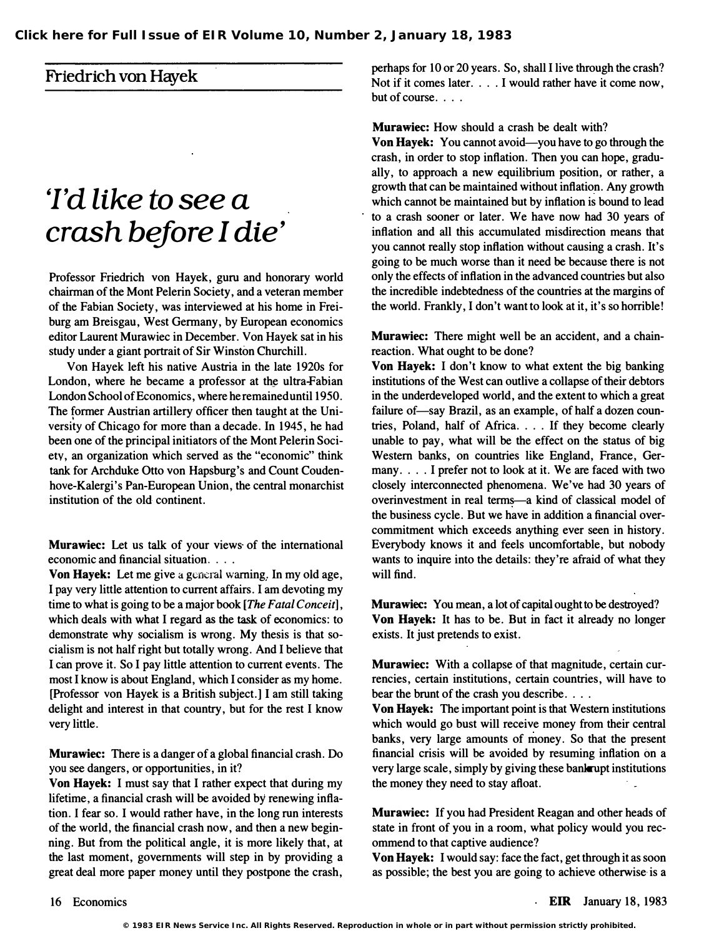### Friedrich von Hayek

# 'I'd like to see <sup>a</sup> crash before I die'

Professor Friedrich von Hayek, guru and honorary world chairman of the Mont Pelerin Society, and a veteran member of the Fabian Society, was iriterviewed at his home in Freiburg am Breisgau, West Germany, by European economics editor Laurent Murawiec in December. Von Hayek sat in his study under a giant portrait of Sir Winston Churchill.

Von Hayek left his native Austria in the late 1920s for London, where he became a professor at the ultra-Fabian London School of Economics , where he remained until 1950. The fonner Austrian artillery officer then taught at the University of Chicago for more than a decade. In 1945, he had been one of the principal initiators of the Mont Pelerin Society, an organization which served as the "economic" think tank for Archduke Otto von Hapsburg's and Count Coudenhove-Kalergi's Pan-European Union, the central monarchist institution of the old continent.

Murawiec: Let us talk of your views of the international economic and financial situation. . . .

Von Hayek: Let me give a general warning. In my oid age, I pay very little attention to current affairs. I am devoting my time to what is going to be a major book [The Fatal Conceit], which deals with what I regard as the task of economics: to demonstrate why socialism is wrong. My thesis is that socialism is not half right but totally wrong. And I believe that I can prove it. So I pay little attention to current events. The most I know is about England, which I consider as my home. [Professor von Hayek is a British subject.] I am still taking delight and interest in that country, but for the rest I know very little.

Murawiec: There is a danger of a global financial crash. Do you see dangers, or opportunities, in it?

Von Hayek: I must say that I rather expect that during my lifetime, a financial crash will be avoided by renewing inflation. I fear so. I would rather have, in the long run interests of the world, the financial crash now, and then a new beginning. But from the political angle, it is more likely that, at the last moment, governments will step in by providing a great deal more paper money until they postpone the crash,

perhaps for 10 or 20 years. So, shall I live through the crash? Not if it comes later. . . . I would rather have it come now, but of course.  $\ldots$ 

Murawiec: How should a crash be dealt with?

Von Hayek: You cannot avoid—you have to go through the crash, in order to stop inflation. Then you can hope, gradually, to approach a new equilibrium position, or rather, a growth that can be maintained without inflation. Any growth which cannot be maintained but by inflation is bound to lead to a crash sooner or later. We have now had 30 years of inflation and all this accumulated misdirection means that you cannot really stop inflation without causing a crash. It's going to be much worse than it need be because there is not only the effects of inflation in the advanced countries but also the incredible indebtedness of the countries at the margins of the world. Frankly, I don't want to look at it, it's so horrible!

Murawiec: There might well be an accident, and a chainreaction. What ought to be done?

Von Hayek: I don't know to what extent the big banking institutions of the West can outlive a collapse of their debtors in the underdeveloped world, and the extent to which a great failure of-say Brazil, as an example, of half a dozen countries, Poland, half of Africa .... If they become clearly unable to pay, what will be the effect on the status of big Western banks, on countries like England, France, Germany. . . . I prefer not to look at it. We are faced with two closely interconnected phenomena. We've had 30 years of overinvestment in real terms-a kind of classical model of the business cycle. But we have in addition a financial overcommitment which exceeds anything ever seen in history. Everybody knows it and feels uncomfortable, but nobody wants to inquire into the details: they're afraid of what they will find.

Murawiec: You mean, a lot of capital ought to be destroyed? Von Hayek: It has to be. But in fact it already no longer exists. It just pretends to exist.

Murawiec: With a collapse of that magnitude, certain currencies, certain institutions, certain countries, will have to bear the brunt of the crash you describe....

Von Hayek: The important point is that Western institutions which would go bust will receive money from their central banks, very large amounts of money. So that the present financial crisis will be avoided by resuming inflation on a very large scale, simply by giving these bankrupt institutions the money they need to stay afloat.

Murawiec: If you had President Reagan and other heads of state in front of you in a room, what policy would you recommend to that captive audience?

Von Hayek: I would say: face the fact, get through it as soon as possible; the best you are going to achieve otherwise is a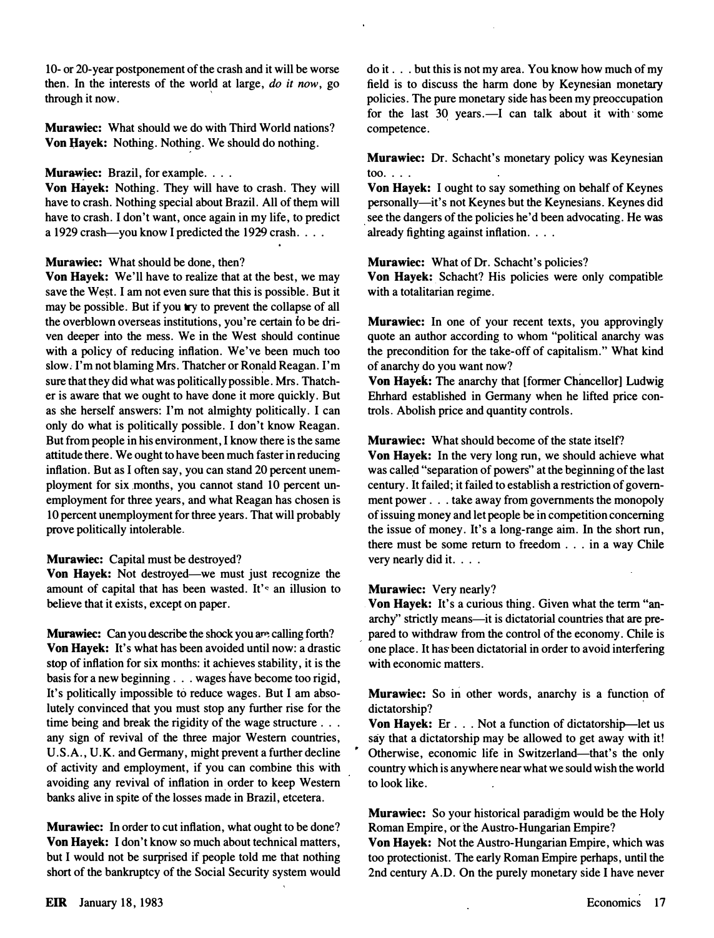10- or 20-year postponement of the crash and it will be worse then. In the interests of the world at large,  $do$  it now, go through it now.

Murawiec: What should we do with Third World nations? Von Hayek: Nothing. Nothing. We should do nothing.

#### Murawiec: Brazil, for example. . . .

Von Hayek: Nothing. They will have to crash. They will have to crash. Nothing special about Brazil. All of them will have to crash. I don't want, once again in my life, to predict a 1929 crash—you know I predicted the 1929 crash. . . .

#### Murawiec: What should be done, then?

Von Hayek: We'll have to realize that at the best, we may save the West. I am not even sure that this is possible. But it may be possible. But if you try to prevent the collapse of all the overblown overseas institutions, you're certain to be driven deeper into the mess. We in the West should continue with a policy of reducing inflation. We've been much too slow; I'm not blaming Mrs. Thatcher or Ronald Reagan. I'm sure that they did what was politically possible. Mrs. Thatcher is aware that we ought to have done it more quickly. But as she herself answers: I'm not almighty politically. I can only do what is politically possible. I don't know Reagan. But from people in his environment, I know there is the same attitude there. We ought to have been much faster in reducing inflation. But as I often say, you can stand 20 percent unemployment for six months, you cannot stand 10 percent unemployment for three years, and what Reagan has chosen is 10 percent unemployment for three years. That will probably prove politically intolerable.

#### Murawiec: Capital must be destroyed?

Von Hayek: Not destroyed-we must just recognize the amount of capital that has been wasted. It's an illusion to believe that it exists, except on paper.

Murawiec: Can you describe the shock you are calling forth? Von Hayek: It's what has been avoided until now: a drastic stop of inflation for six months: it achieves stability, it is the basis for a new beginning . . . wages have become too rigid, It's politically impossible to reduce wages. But I am absolutely convinced that you must stop any further rise for the time being and break the rigidity of the wage structure . . . any sign of revival of the three major Western countries, U.S.A., U.K. and Germany, might prevent a further decline of activity and employment, if you can combine this with avoiding any revival of inflation in order to keep Western banks alive in spite of the losses made in Brazil, etcetera.

Murawiec: In order to cut inflation, what ought to be done? Von Hayek: I don't know so much about technical matters, but I would not be surprised if people told me that nothing short of the bankruptcy of the Social Security system would do it . . . but this is not my area. You know how much of my field is to discuss the harm done by Keynesian monetary policies. The pure monetary side has been my preoccupation for the last 30 years.-I can talk about it with some competence.

Murawiec: Dr. Schacht's monetary policy was Keynesian too. $\ldots$ 

Von Hayek: I ought to say something on behalf of Keynes personally-it's not Keynes but the Keynesians. Keynes did see the dangers of the policies he'd been advocating. He was already fighting against inflation. . . .

#### Murawiec: What of Dr. Schacht's policies?

Von Hayek: Schacht? His policies were only compatible with a totalitarian regime.

Murawiec: In one of your recent texts, you approvingly quote an author according to whom "political anarchy was the precondition for the take-off of capitalism." What kind of anarchy do you want now?

Von Hayek: The anarchy that [former Chancellor] Ludwig Ehrhard established in Germany when he lifted price controls. Abolish price and quantity controls.

#### Murawiec: What should become of the state itself?

Von Hayek: In the very long run, we should achieve what was called "separation of powers" at the beginning of the last century. It failed; it failed to establish a restriction of government power . . . take away from governments the monopoly of issuing money and let people be in competition concerning the issue of money. It's a long-range aim. In the short run, there must be some return to freedom . . . in a way Chile very nearly did it. . . .

#### Murawiec: Very nearly?

Von Hayek: It's a curious thing. Given what the term "anarchy" strictly means—it is dictatorial countries that are prepared to withdraw from the control of the economy. Chile is one place. It has been dictatorial in order to avoid interfering with economic matters.

Murawiec: So in other words, anarchy is a function of dictatorship?

Von Hayek: Er... Not a function of dictatorship-let us say that a dictatorship may be allowed to get away with it! Otherwise, economic life in Switzerland-that's the only country which is anywhere near what we sould wish the world to look like.

Murawiec: So your historical paradigm would be the Holy Roman Empire, or the Austro-Hungarian Empire?

Von Hayek: Not the Austro-Hungarian Empire, which was too protectionist. The early Roman Empire perhaps, until the 2nd century A.D. On the purely monetary side I have never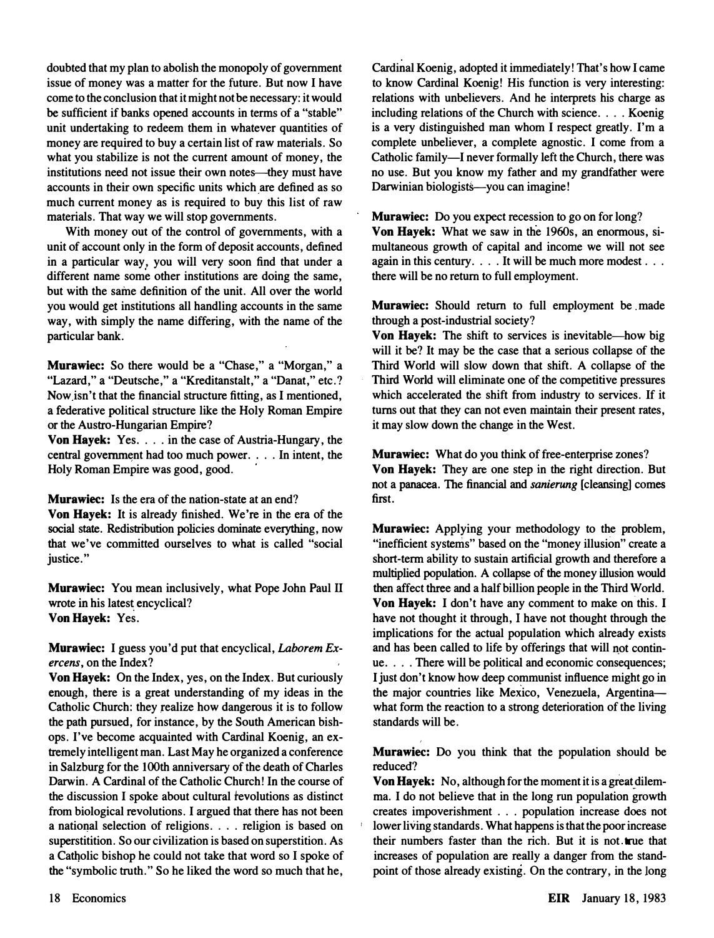doubted that my plan to abolish the monopoly of government issue of money was a matter for the future. But now I have come to the conclusion that it might not be necessary: it would be sufficient if banks opened accounts in terms of a "stable" unit undertaking to redeem them in whatever quantities of money are required to buy a certain list of raw materials. So what you stabilize is not the current amount of money, the institutions need not issue their own notes--they must have accounts in their own specific units which are defined as so much current money as is required to buy this list of raw materials. That way we will stop governments.

With money out of the control of governments, with a unit of account only in the form of deposit accounts, defined in a particular way, you will very soon find that under a different name some other institutions are doing the same, but with the same definition of the unit. All over the world you would get institutions all handling accounts in the same way, with simply the name differing, with the name of the particular bank.

Murawiec: So there would be a "Chase," a "Morgan," a "Lazard," a "Deutsche," a "Kreditanstalt," a "Danat," etc.? Now isn't that the financial structure fitting, as I mentioned, a federative political structure like the Holy Roman Empire or the Austro-Hungarian Empire?

Von Hayek: Yes. . . . in the case of Austria-Hungary, the central government had too much power .... In intent, the Holy Roman Empire was good, good.

Murawiec: Is the era of the nation-state at an end?

Von Hayek: It is already finished. We're in the era of the social state. Redistribution policies dominate everything, now that we've committed ourselves to what is called "social justice."

Murawiec: You mean inclusively, what Pope John Paul II wrote in his latest encyclical? Von Hayek: Yes.

Murawiec: I guess you'd put that encyclical, Laborem Exercens, on the Index?

Von Hayek: On the Index, yes, on the Index. But curiously enough, there is a great understanding of my ideas in the Catholic Church: they realize how dangerous it is to follow the path pursued, for instance, by the South American bishops. I've become acquainted with Cardinal Koenig, an extremely intelligent man. Last May he organized a conference in Salzburg for the l00th anniversary of the death of Charles Darwin. A Cardinal of the Catholic Church! In the course of the discussion I spoke about cultural revolutions as distinct from biological revolutions. I argued that there has not been a national selection of religions. . . . religion is based on superstitition. So our civilization is based on superstition. As a Catholic bishop he could not take that word so I spoke of the "symbolic truth." So he liked the word so much that he,

Cardinal Koenig, adopted it immediately! That's how I came to know Cardinal Koenig! His function is very interesting: relations with unbelievers. And he interprets his charge as including relations of the Church with science. . . . Koenig is a very distinguished man whom I respect greatly. I'm a complete unbeliever, a complete agnostic. I come from a Catholic family-I never formally left the Church, there was no use. But you know my father and my grandfather were Darwinian biologists-you can imagine!

Murawiec: Do you expect recession to go on for long?

Von Hayek: What we saw in the 1960s, an enormous, simultaneous growth of capital and income we will not see again in this century. . . . It will be much more modest . . . there will be no return to full employment.

Murawiec: Should return to full employment be made through a post-industrial society?

Von Hayek: The shift to services is inevitable—how big will it be? It may be the case that a serious collapse of the Third World will slow down that shift. A collapse of the Third World will eliminate one of the competitive pressures which accelerated the shift from industry to services. If it turns out that they can not even maintain their present rates, it may slow down the change in the West.

Murawiec: What do you think of free-enterprise zones? Von Hayek: They are one step in the right direction. But not a panacea. The financial and sanierung [cleansing] comes first.

Murawiec: Applying your methodology to the problem, "inefficient systems" based on the "money illusion" create a short-term ability to sustain artificial growth and therefore a multiplied population. A collapse of the money illusion would then affect three and a half billion people in the Third World. Von Hayek: I don't have any comment to make on this. I have not thought it through, I have not thought through the implications for the actual population which already exists and has been called to life by offerings that will not continue. . . . There will be political and economic consequences; I just don't know how deep communist influence might go in the major countries like Mexico, Venezuela, Argentinawhat form the reaction to a strong deterioration of the living standards will be.

**Murawiec:** Do you think that the population should be reduced?

Von Hayek: No, although for the moment it is a great dilemma. I do not believe that in the long run population growth creates impoverishment . . . population increase does not lower living standards. What happens is that the poor increase their numbers faster than the rich. But it is not true that increases of population are really a danger from the standpoint of those already existing. On the contrary, in the long